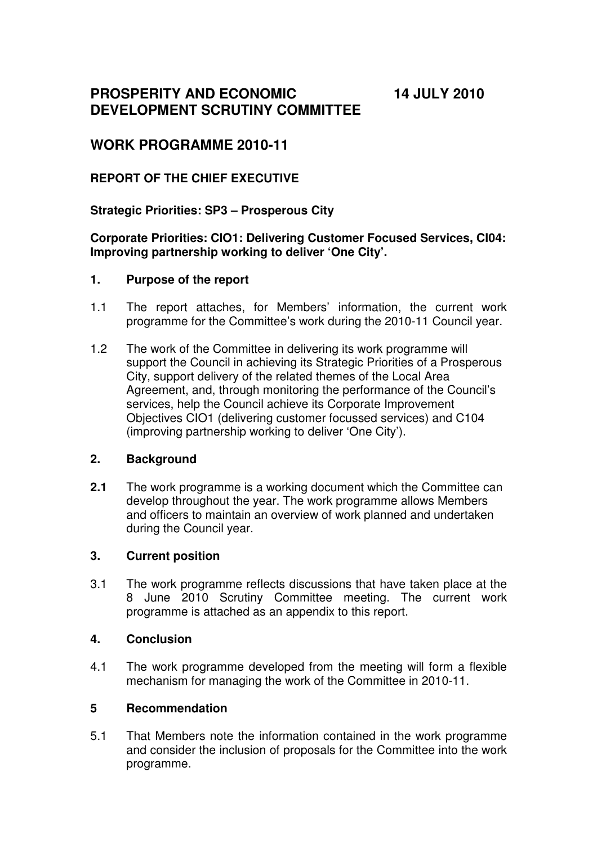**PROSPERITY AND ECONOMIC DEVELOPMENT SCRUTINY COMMITTEE**  **14 JULY 2010** 

# **WORK PROGRAMME 2010-11**

## **REPORT OF THE CHIEF EXECUTIVE**

### **Strategic Priorities: SP3 – Prosperous City**

#### **Corporate Priorities: CIO1: Delivering Customer Focused Services, CI04: Improving partnership working to deliver 'One City'.**

#### **1. Purpose of the report**

- 1.1 The report attaches, for Members' information, the current work programme for the Committee's work during the 2010-11 Council year.
- 1.2 The work of the Committee in delivering its work programme will support the Council in achieving its Strategic Priorities of a Prosperous City, support delivery of the related themes of the Local Area Agreement, and, through monitoring the performance of the Council's services, help the Council achieve its Corporate Improvement Objectives CIO1 (delivering customer focussed services) and C104 (improving partnership working to deliver 'One City').

#### **2. Background**

**2.1** The work programme is a working document which the Committee can develop throughout the year. The work programme allows Members and officers to maintain an overview of work planned and undertaken during the Council year.

#### **3. Current position**

3.1 The work programme reflects discussions that have taken place at the 8 June 2010 Scrutiny Committee meeting. The current work programme is attached as an appendix to this report.

#### **4. Conclusion**

4.1 The work programme developed from the meeting will form a flexible mechanism for managing the work of the Committee in 2010-11.

#### **5 Recommendation**

5.1 That Members note the information contained in the work programme and consider the inclusion of proposals for the Committee into the work programme.